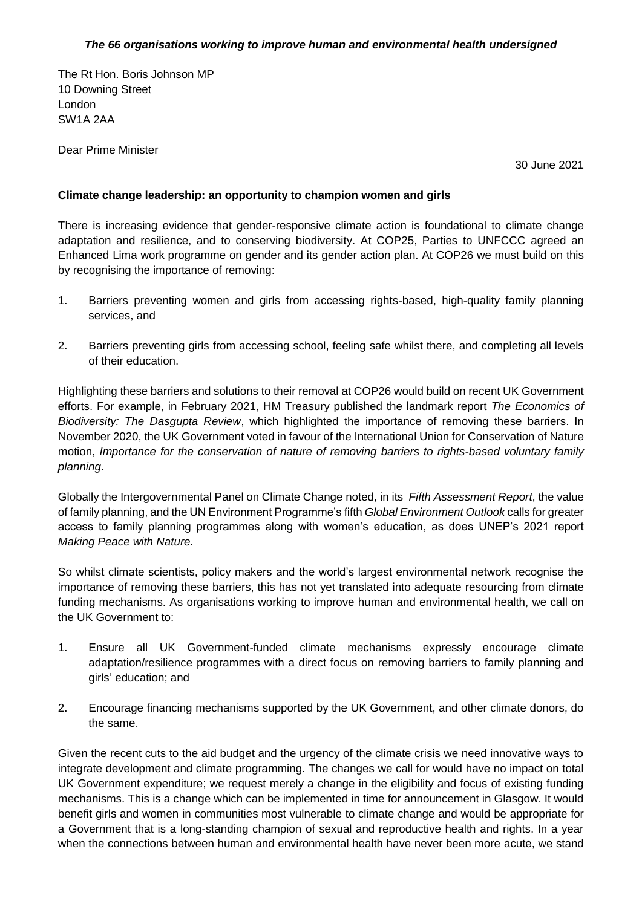## *The 66 organisations working to improve human and environmental health undersigned*

The Rt Hon. Boris Johnson MP 10 Downing Street London SW1A 2AA

Dear Prime Minister

30 June 2021

## **Climate change leadership: an opportunity to champion women and girls**

There is increasing evidence that gender-responsive climate action is foundational to climate change adaptation and resilience, and to conserving biodiversity. At COP25, Parties to UNFCCC agreed an Enhanced Lima work programme on gender and its gender action plan. At COP26 we must build on this by recognising the importance of removing:

- 1. Barriers preventing women and girls from accessing rights-based, high-quality family planning services, and
- 2. Barriers preventing girls from accessing school, feeling safe whilst there, and completing all levels of their education.

Highlighting these barriers and solutions to their removal at COP26 would build on recent UK Government efforts. For example, in February 2021, HM Treasury published the landmark report *The Economics of Biodiversity: The Dasgupta Review*, which highlighted the importance of removing these barriers. In November 2020, the UK Government voted in favour of the International Union for Conservation of Nature motion, *Importance for the conservation of nature of removing barriers to rights-based voluntary family planning*.

Globally the Intergovernmental Panel on Climate Change noted, in its *Fifth Assessment Report*, the value of family planning, and the UN Environment Programme's fifth *Global Environment Outlook* calls for greater access to family planning programmes along with women's education, as does UNEP's 2021 report *Making Peace with Nature*.

So whilst climate scientists, policy makers and the world's largest environmental network recognise the importance of removing these barriers, this has not yet translated into adequate resourcing from climate funding mechanisms. As organisations working to improve human and environmental health, we call on the UK Government to:

- 1. Ensure all UK Government-funded climate mechanisms expressly encourage climate adaptation/resilience programmes with a direct focus on removing barriers to family planning and girls' education; and
- 2. Encourage financing mechanisms supported by the UK Government, and other climate donors, do the same.

Given the recent cuts to the aid budget and the urgency of the climate crisis we need innovative ways to integrate development and climate programming. The changes we call for would have no impact on total UK Government expenditure; we request merely a change in the eligibility and focus of existing funding mechanisms. This is a change which can be implemented in time for announcement in Glasgow. It would benefit girls and women in communities most vulnerable to climate change and would be appropriate for a Government that is a long-standing champion of sexual and reproductive health and rights. In a year when the connections between human and environmental health have never been more acute, we stand